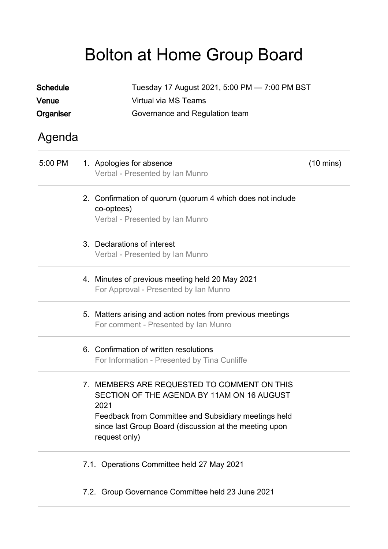## Bolton at Home Group Board

| <b>Schedule</b> | Tuesday 17 August 2021, 5:00 PM - 7:00 PM BST |                                                                                                                                                                                                                                      |                     |  |  |
|-----------------|-----------------------------------------------|--------------------------------------------------------------------------------------------------------------------------------------------------------------------------------------------------------------------------------------|---------------------|--|--|
| Venue           |                                               | <b>Virtual via MS Teams</b>                                                                                                                                                                                                          |                     |  |  |
| Organiser       |                                               | Governance and Regulation team                                                                                                                                                                                                       |                     |  |  |
| Agenda          |                                               |                                                                                                                                                                                                                                      |                     |  |  |
| 5:00 PM         |                                               | 1. Apologies for absence<br>Verbal - Presented by Ian Munro                                                                                                                                                                          | $(10 \text{ mins})$ |  |  |
|                 |                                               | 2. Confirmation of quorum (quorum 4 which does not include<br>co-optees)<br>Verbal - Presented by Ian Munro                                                                                                                          |                     |  |  |
|                 |                                               | 3. Declarations of interest<br>Verbal - Presented by Ian Munro                                                                                                                                                                       |                     |  |  |
|                 |                                               | 4. Minutes of previous meeting held 20 May 2021<br>For Approval - Presented by Ian Munro                                                                                                                                             |                     |  |  |
|                 |                                               | 5. Matters arising and action notes from previous meetings<br>For comment - Presented by Ian Munro                                                                                                                                   |                     |  |  |
|                 |                                               | 6. Confirmation of written resolutions<br>For Information - Presented by Tina Cunliffe                                                                                                                                               |                     |  |  |
|                 |                                               | 7. MEMBERS ARE REQUESTED TO COMMENT ON THIS<br>SECTION OF THE AGENDA BY 11AM ON 16 AUGUST<br>2021<br>Feedback from Committee and Subsidiary meetings held<br>since last Group Board (discussion at the meeting upon<br>request only) |                     |  |  |
|                 |                                               | 7.1. Operations Committee held 27 May 2021                                                                                                                                                                                           |                     |  |  |
|                 |                                               | 7.2. Group Governance Committee held 23 June 2021                                                                                                                                                                                    |                     |  |  |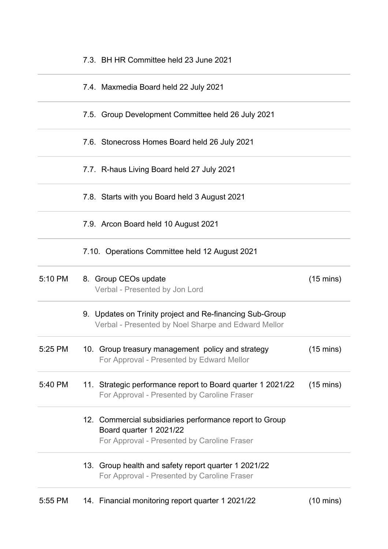| 5:55 PM | 14. Financial monitoring report quarter 1 2021/22                                                                                 | $(10 \text{ mins})$ |
|---------|-----------------------------------------------------------------------------------------------------------------------------------|---------------------|
|         | 13. Group health and safety report quarter 1 2021/22<br>For Approval - Presented by Caroline Fraser                               |                     |
|         | 12. Commercial subsidiaries performance report to Group<br>Board quarter 1 2021/22<br>For Approval - Presented by Caroline Fraser |                     |
| 5:40 PM | 11. Strategic performance report to Board quarter 1 2021/22<br>For Approval - Presented by Caroline Fraser                        | $(15 \text{ mins})$ |
| 5:25 PM | 10. Group treasury management policy and strategy<br>For Approval - Presented by Edward Mellor                                    | $(15 \text{ mins})$ |
|         | 9. Updates on Trinity project and Re-financing Sub-Group<br>Verbal - Presented by Noel Sharpe and Edward Mellor                   |                     |
| 5:10 PM | 8. Group CEOs update<br>Verbal - Presented by Jon Lord                                                                            | $(15 \text{ mins})$ |
|         | 7.10. Operations Committee held 12 August 2021                                                                                    |                     |
|         | 7.9. Arcon Board held 10 August 2021                                                                                              |                     |
|         | 7.8. Starts with you Board held 3 August 2021                                                                                     |                     |
|         | 7.7. R-haus Living Board held 27 July 2021                                                                                        |                     |
|         | 7.6. Stonecross Homes Board held 26 July 2021                                                                                     |                     |
|         | 7.5. Group Development Committee held 26 July 2021                                                                                |                     |
|         | 7.4. Maxmedia Board held 22 July 2021                                                                                             |                     |
|         | 7.3. BH HR Committee held 23 June 2021                                                                                            |                     |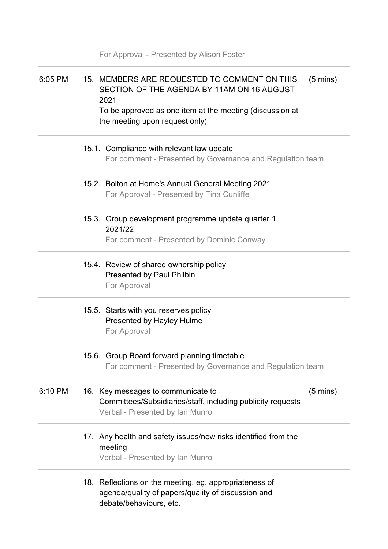|         | For Approval - Presented by Alison Foster                                                                                                                      |                    |
|---------|----------------------------------------------------------------------------------------------------------------------------------------------------------------|--------------------|
| 6:05 PM | 15. MEMBERS ARE REQUESTED TO COMMENT ON THIS<br>SECTION OF THE AGENDA BY 11AM ON 16 AUGUST<br>2021<br>To be approved as one item at the meeting (discussion at | $(5 \text{ mins})$ |
|         | the meeting upon request only)                                                                                                                                 |                    |
|         | 15.1. Compliance with relevant law update<br>For comment - Presented by Governance and Regulation team                                                         |                    |
|         | 15.2. Bolton at Home's Annual General Meeting 2021<br>For Approval - Presented by Tina Cunliffe                                                                |                    |
|         | 15.3. Group development programme update quarter 1<br>2021/22<br>For comment - Presented by Dominic Conway                                                     |                    |
|         | 15.4. Review of shared ownership policy<br><b>Presented by Paul Philbin</b><br>For Approval                                                                    |                    |
|         | 15.5. Starts with you reserves policy<br>Presented by Hayley Hulme<br>For Approval                                                                             |                    |
|         | 15.6. Group Board forward planning timetable<br>For comment - Presented by Governance and Regulation team                                                      |                    |
| 6:10 PM | 16. Key messages to communicate to<br>Committees/Subsidiaries/staff, including publicity requests<br>Verbal - Presented by Ian Munro                           | $(5 \text{ mins})$ |
|         | 17. Any health and safety issues/new risks identified from the<br>meeting<br>Verbal - Presented by Ian Munro                                                   |                    |
|         | 18. Reflections on the meeting, eg. appropriateness of<br>agenda/quality of papers/quality of discussion and<br>debate/behaviours, etc.                        |                    |